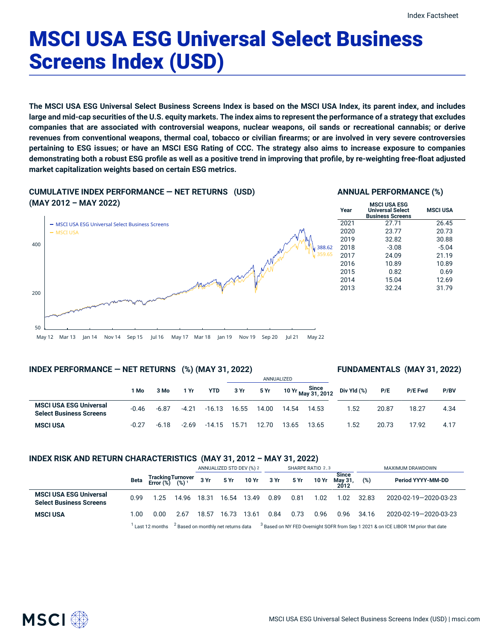# MSCI USA ESG Universal Select Business Screens Index (USD)

The MSCI USA ESG Universal Select Business Screens Index is based on the MSCI USA Index, its parent index, and includes large and mid-cap securities of the U.S. equity markets. The index aims to represent the performance of a strategy that excludes companies that are associated with controversial weapons, nuclear weapons, oil sands or recreational cannabis; or derive revenues from conventional weapons, thermal coal, tobacco or civilian firearms; or are involved in very severe controversies pertaining to ESG issues; or have an MSCI ESG Rating of CCC. The strategy also aims to increase exposure to companies demonstrating both a robust ESG profile as well as a positive trend in improving that profile, by re-weighting free-float adjusted **market capitalization weights based on certain ESG metrics.**

### **CUMULATIVE INDEX PERFORMANCE — NET RETURNS (USD)**

### **(MAY 2012 – MAY 2022)** May 12 Mar 13 Jan 14 Nov 14 Sep 15 Jul 16 May 17 Mar 18 Jan 19 Nov 19 Sep 20 Jul 21 May 22 50 200 400 **- MSCI USA ESG Universal Select Business Screens** MSCI USA 388.62 359.65 **Year**

### **ANNUAL PERFORMANCE (%)**

| Year | <b>MSCI USA ESG</b><br><b>Universal Select</b><br><b>Business Screens</b> | <b>MSCI USA</b> |
|------|---------------------------------------------------------------------------|-----------------|
| 2021 | 27.71                                                                     | 26.45           |
| 2020 | 23.77                                                                     | 20.73           |
| 2019 | 32.82                                                                     | 30.88           |
| 2018 | $-3.08$                                                                   | $-5.04$         |
| 2017 | 24.09                                                                     | 21.19           |
| 2016 | 10.89                                                                     | 10.89           |
| 2015 | 0.82                                                                      | 0.69            |
| 2014 | 15.04                                                                     | 12.69           |
| 2013 | 32.24                                                                     | 31.79           |
|      |                                                                           |                 |

### **INDEX PERFORMANCE — NET RETURNS (%) (MAY 31, 2022)**

### **FUNDAMENTALS (MAY 31, 2022)**

|                                                                 |         |         |         |            |       |       | ANNUALIZED |                             |             |       |                |      |
|-----------------------------------------------------------------|---------|---------|---------|------------|-------|-------|------------|-----------------------------|-------------|-------|----------------|------|
|                                                                 | 1 Mo    | 3 Mo    | 1 Yr    | <b>YTD</b> | 3 Yr  | 5 Yr  |            | Since<br>10 Yr May 31, 2012 | Div Yld (%) | P/E   | <b>P/E Fwd</b> | P/BV |
| <b>MSCI USA ESG Universal</b><br><b>Select Business Screens</b> | $-0.46$ | $-6.87$ | $-4.21$ | $-16.13$   | 16.55 | 14.00 | 14.54      | 14.53                       | 1.52        | 20.87 | 18.27          | 4.34 |
| <b>MSCI USA</b>                                                 | $-0.27$ | $-6.18$ | $-2.69$ | $-14.15$   | 15.71 | 12.70 | 13.65      | 13.65                       | 1.52        | 20.73 | 17.92          | 4.17 |

### **INDEX RISK AND RETURN CHARACTERISTICS (MAY 31, 2012 – MAY 31, 2022)**

|                                                                 |      |                                                 |       |       | ANNUALIZED STD DEV (%) 2                       |            |      |      | SHARPE RATIO 2,3 |                                 |       | MAXIMUM DRAWDOWN                                                                              |
|-----------------------------------------------------------------|------|-------------------------------------------------|-------|-------|------------------------------------------------|------------|------|------|------------------|---------------------------------|-------|-----------------------------------------------------------------------------------------------|
|                                                                 | Beta | Tracking Turnover<br>Error (%) (%) <sup>1</sup> |       | 3 Yr  |                                                | 5 Yr 10 Yr | 3 Yr | 5 Yr | 10 Yr            | <b>Since</b><br>Mav 31.<br>2012 | (%)   | Period YYYY-MM-DD                                                                             |
| <b>MSCI USA ESG Universal</b><br><b>Select Business Screens</b> | 0.99 | 1.25                                            | 14.96 | 18.31 | 16.54                                          | 13.49      | 0.89 | 0.81 | 1.02             | 1.02                            | 32.83 | 2020-02-19-2020-03-23                                                                         |
| <b>MSCI USA</b>                                                 | 1.00 | 0.00                                            | 2.67  | 18.57 | 16.73                                          | 13.61      | 0.84 | 0.73 | 0.96             | 0.96                            | 34.16 | 2020-02-19-2020-03-23                                                                         |
|                                                                 |      | Last 12 months                                  |       |       | <sup>2</sup> Based on monthly net returns data |            |      |      |                  |                                 |       | <sup>3</sup> Based on NY FED Overnight SOFR from Sep 1 2021 & on ICE LIBOR 1M prior that date |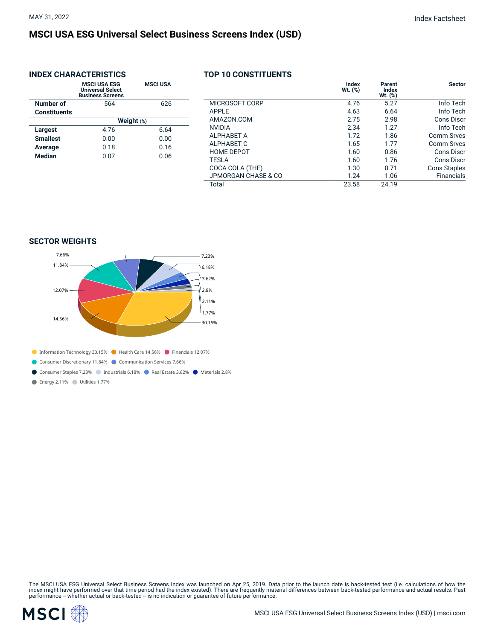## **MSCI USA ESG Universal Select Business Screens Index (USD)**

### **INDEX CHARACTERISTICS**

|                     | <b>MSCI USA ESG</b><br><b>Universal Select</b><br><b>Business Screens</b> | <b>MSCI USA</b> |
|---------------------|---------------------------------------------------------------------------|-----------------|
| Number of           | 564                                                                       | 626             |
| <b>Constituents</b> |                                                                           |                 |
|                     |                                                                           | Weight (%)      |
| Largest             | 4.76                                                                      | 6.64            |
| <b>Smallest</b>     | 0.00                                                                      | 0.00            |
| Average             | 0.18                                                                      | 0.16            |
| Median              | 0.07                                                                      | 0.06            |
|                     |                                                                           |                 |

### **TOP 10 CONSTITUENTS**

| <b>Sector</b>       | Parent<br><b>Index</b><br>$Wt.$ $(\%)$ | Index<br>$Wt.$ $(*)$ |                     |
|---------------------|----------------------------------------|----------------------|---------------------|
| Info Tech           | 5.27                                   | 4.76                 | MICROSOFT CORP      |
| Info Tech           | 6.64                                   | 4.63                 | APPLE               |
| Cons Discr          | 2.98                                   | 2.75                 | AMAZON.COM          |
| Info Tech           | 1.27                                   | 2.34                 | <b>NVIDIA</b>       |
| Comm Srvcs          | 1.86                                   | 1.72                 | <b>ALPHABET A</b>   |
| Comm Srvcs          | 1.77                                   | 1.65                 | ALPHABET C          |
| Cons Discr          | 0.86                                   | 1.60                 | <b>HOME DEPOT</b>   |
| Cons Discr          | 1.76                                   | 1.60                 | <b>TESLA</b>        |
| <b>Cons Staples</b> | 0.71                                   | 1.30                 | COCA COLA (THE)     |
| <b>Financials</b>   | 1.06                                   | 1.24                 | JPMORGAN CHASE & CO |
|                     | 24.19                                  | 23.58                | Total               |

#### **SECTOR WEIGHTS**



Energy 2.11% Utilities 1.77%

The MSCI USA ESG Universal Select Business Screens Index was launched on Apr 25, 2019. Data prior to the launch date is back-tested test (i.e. calculations of how the<br>index might have performed over that time period had th